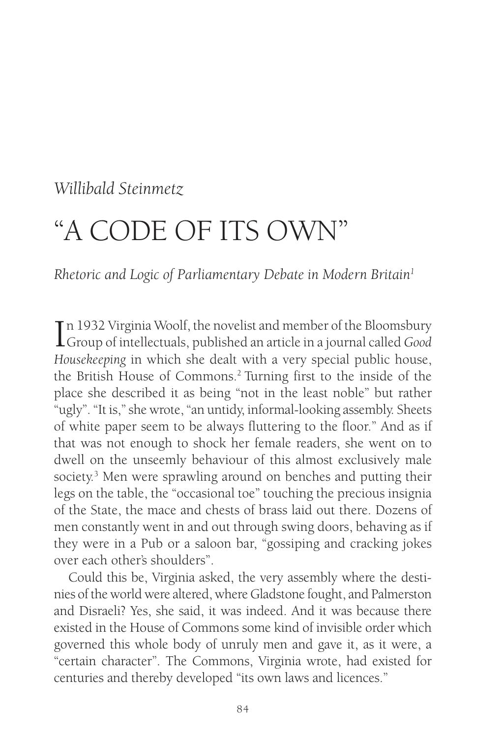#### *Willibald Steinmetz*

# "A CODE OF ITS OWN"

*Rhetoric and Logic of Parliamentary Debate in Modern Britain1*

In 1932 Virginia Woolf, the novelist and member of the Bloomsbury<br>Group of intellectuals, published an article in a journal called Good Group of intellectuals, published an article in a journal called *Good Housekeeping* in which she dealt with a very special public house, the British House of Commons.2 Turning first to the inside of the place she described it as being "not in the least noble" but rather "ugly". "It is," she wrote, "an untidy, informal-looking assembly. Sheets of white paper seem to be always fluttering to the floor." And as if that was not enough to shock her female readers, she went on to dwell on the unseemly behaviour of this almost exclusively male society.<sup>3</sup> Men were sprawling around on benches and putting their legs on the table, the "occasional toe" touching the precious insignia of the State, the mace and chests of brass laid out there. Dozens of men constantly went in and out through swing doors, behaving as if they were in a Pub or a saloon bar, "gossiping and cracking jokes over each other's shoulders".

Could this be, Virginia asked, the very assembly where the destinies of the world were altered, where Gladstone fought, and Palmerston and Disraeli? Yes, she said, it was indeed. And it was because there existed in the House of Commons some kind of invisible order which governed this whole body of unruly men and gave it, as it were, a "certain character". The Commons, Virginia wrote, had existed for centuries and thereby developed "its own laws and licences."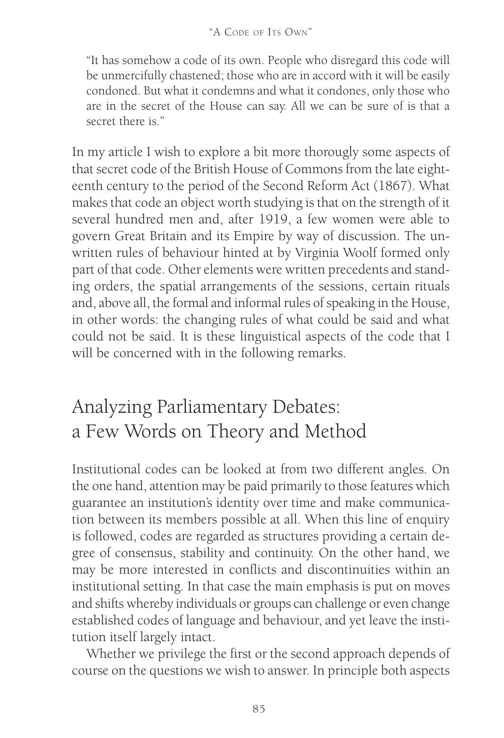"It has somehow a code of its own. People who disregard this code will be unmercifully chastened; those who are in accord with it will be easily condoned. But what it condemns and what it condones, only those who are in the secret of the House can say. All we can be sure of is that a secret there is."

In my article I wish to explore a bit more thorougly some aspects of that secret code of the British House of Commons from the late eighteenth century to the period of the Second Reform Act (1867). What makes that code an object worth studying is that on the strength of it several hundred men and, after 1919, a few women were able to govern Great Britain and its Empire by way of discussion. The unwritten rules of behaviour hinted at by Virginia Woolf formed only part of that code. Other elements were written precedents and standing orders, the spatial arrangements of the sessions, certain rituals and, above all, the formal and informal rules of speaking in the House, in other words: the changing rules of what could be said and what could not be said. It is these linguistical aspects of the code that I will be concerned with in the following remarks.

## Analyzing Parliamentary Debates: a Few Words on Theory and Method

Institutional codes can be looked at from two different angles. On the one hand, attention may be paid primarily to those features which guarantee an institution's identity over time and make communication between its members possible at all. When this line of enquiry is followed, codes are regarded as structures providing a certain degree of consensus, stability and continuity. On the other hand, we may be more interested in conflicts and discontinuities within an institutional setting. In that case the main emphasis is put on moves and shifts whereby individuals or groups can challenge or even change established codes of language and behaviour, and yet leave the institution itself largely intact.

Whether we privilege the first or the second approach depends of course on the questions we wish to answer. In principle both aspects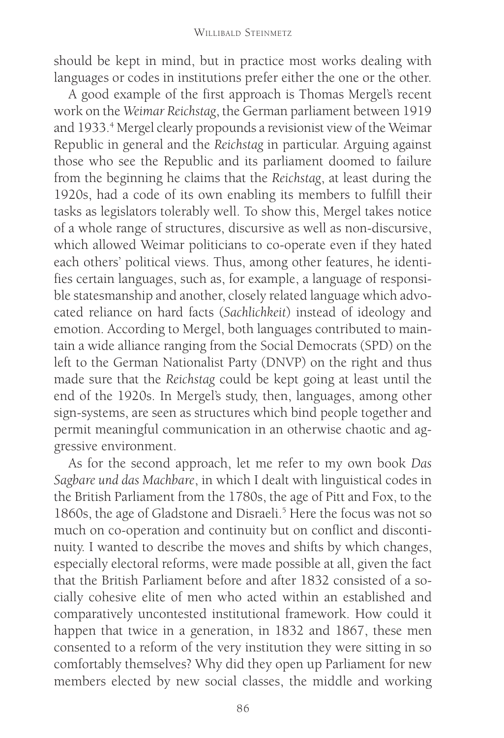should be kept in mind, but in practice most works dealing with languages or codes in institutions prefer either the one or the other.

A good example of the first approach is Thomas Mergel's recent work on the *Weimar Reichstag*, the German parliament between 1919 and 1933.4 Mergel clearly propounds a revisionist view of the Weimar Republic in general and the *Reichstag* in particular. Arguing against those who see the Republic and its parliament doomed to failure from the beginning he claims that the *Reichstag*, at least during the 1920s, had a code of its own enabling its members to fulfill their tasks as legislators tolerably well. To show this, Mergel takes notice of a whole range of structures, discursive as well as non-discursive, which allowed Weimar politicians to co-operate even if they hated each others' political views. Thus, among other features, he identifies certain languages, such as, for example, a language of responsible statesmanship and another, closely related language which advocated reliance on hard facts (*Sachlichkeit*) instead of ideology and emotion. According to Mergel, both languages contributed to maintain a wide alliance ranging from the Social Democrats (SPD) on the left to the German Nationalist Party (DNVP) on the right and thus made sure that the *Reichstag* could be kept going at least until the end of the 1920s. In Mergel's study, then, languages, among other sign-systems, are seen as structures which bind people together and permit meaningful communication in an otherwise chaotic and aggressive environment.

As for the second approach, let me refer to my own book *Das Sagbare und das Machbare*, in which I dealt with linguistical codes in the British Parliament from the 1780s, the age of Pitt and Fox, to the 1860s, the age of Gladstone and Disraeli.5 Here the focus was not so much on co-operation and continuity but on conflict and discontinuity. I wanted to describe the moves and shifts by which changes, especially electoral reforms, were made possible at all, given the fact that the British Parliament before and after 1832 consisted of a socially cohesive elite of men who acted within an established and comparatively uncontested institutional framework. How could it happen that twice in a generation, in 1832 and 1867, these men consented to a reform of the very institution they were sitting in so comfortably themselves? Why did they open up Parliament for new members elected by new social classes, the middle and working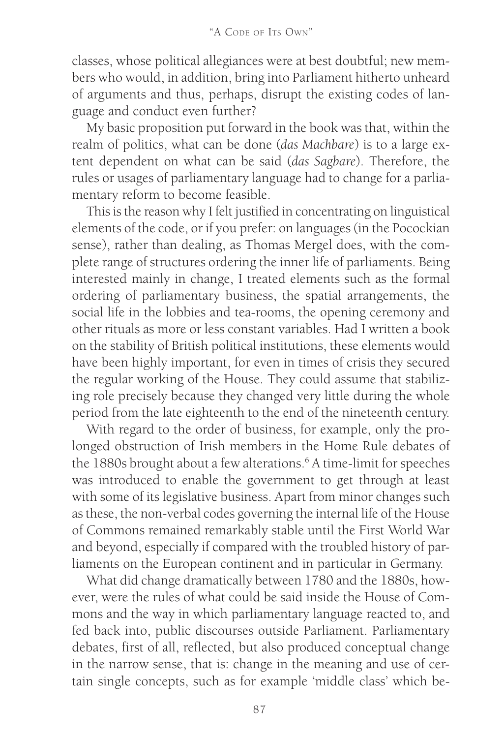classes, whose political allegiances were at best doubtful; new members who would, in addition, bring into Parliament hitherto unheard of arguments and thus, perhaps, disrupt the existing codes of language and conduct even further?

My basic proposition put forward in the book was that, within the realm of politics, what can be done (*das Machbare*) is to a large extent dependent on what can be said (*das Sagbare*). Therefore, the rules or usages of parliamentary language had to change for a parliamentary reform to become feasible.

This is the reason why I felt justified in concentrating on linguistical elements of the code, or if you prefer: on languages (in the Pocockian sense), rather than dealing, as Thomas Mergel does, with the complete range of structures ordering the inner life of parliaments. Being interested mainly in change, I treated elements such as the formal ordering of parliamentary business, the spatial arrangements, the social life in the lobbies and tea-rooms, the opening ceremony and other rituals as more or less constant variables. Had I written a book on the stability of British political institutions, these elements would have been highly important, for even in times of crisis they secured the regular working of the House. They could assume that stabilizing role precisely because they changed very little during the whole period from the late eighteenth to the end of the nineteenth century.

With regard to the order of business, for example, only the prolonged obstruction of Irish members in the Home Rule debates of the 1880s brought about a few alterations.<sup>6</sup> A time-limit for speeches was introduced to enable the government to get through at least with some of its legislative business. Apart from minor changes such as these, the non-verbal codes governing the internal life of the House of Commons remained remarkably stable until the First World War and beyond, especially if compared with the troubled history of parliaments on the European continent and in particular in Germany.

What did change dramatically between 1780 and the 1880s, however, were the rules of what could be said inside the House of Commons and the way in which parliamentary language reacted to, and fed back into, public discourses outside Parliament. Parliamentary debates, first of all, reflected, but also produced conceptual change in the narrow sense, that is: change in the meaning and use of certain single concepts, such as for example 'middle class' which be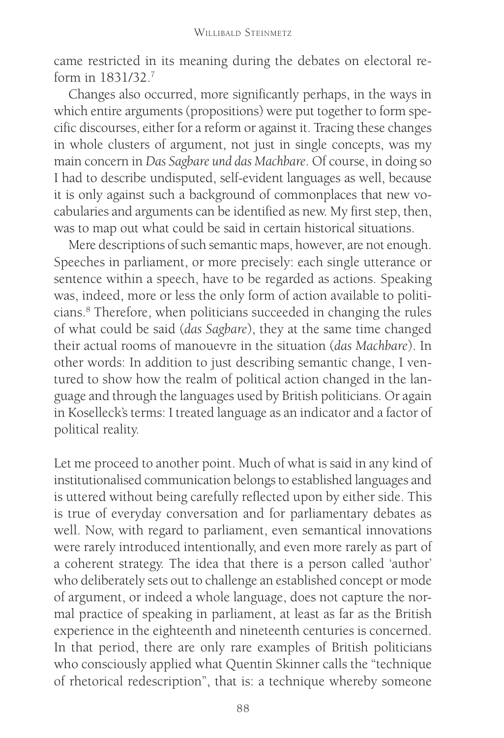came restricted in its meaning during the debates on electoral reform in 1831/32.7

Changes also occurred, more significantly perhaps, in the ways in which entire arguments (propositions) were put together to form specific discourses, either for a reform or against it. Tracing these changes in whole clusters of argument, not just in single concepts, was my main concern in *Das Sagbare und das Machbare*. Of course, in doing so I had to describe undisputed, self-evident languages as well, because it is only against such a background of commonplaces that new vocabularies and arguments can be identified as new. My first step, then, was to map out what could be said in certain historical situations.

Mere descriptions of such semantic maps, however, are not enough. Speeches in parliament, or more precisely: each single utterance or sentence within a speech, have to be regarded as actions. Speaking was, indeed, more or less the only form of action available to politicians.8 Therefore, when politicians succeeded in changing the rules of what could be said (*das Sagbare*), they at the same time changed their actual rooms of manouevre in the situation (*das Machbare*). In other words: In addition to just describing semantic change, I ventured to show how the realm of political action changed in the language and through the languages used by British politicians. Or again in Koselleck's terms: I treated language as an indicator and a factor of political reality.

Let me proceed to another point. Much of what is said in any kind of institutionalised communication belongs to established languages and is uttered without being carefully reflected upon by either side. This is true of everyday conversation and for parliamentary debates as well. Now, with regard to parliament, even semantical innovations were rarely introduced intentionally, and even more rarely as part of a coherent strategy. The idea that there is a person called 'author' who deliberately sets out to challenge an established concept or mode of argument, or indeed a whole language, does not capture the normal practice of speaking in parliament, at least as far as the British experience in the eighteenth and nineteenth centuries is concerned. In that period, there are only rare examples of British politicians who consciously applied what Quentin Skinner calls the "technique of rhetorical redescription", that is: a technique whereby someone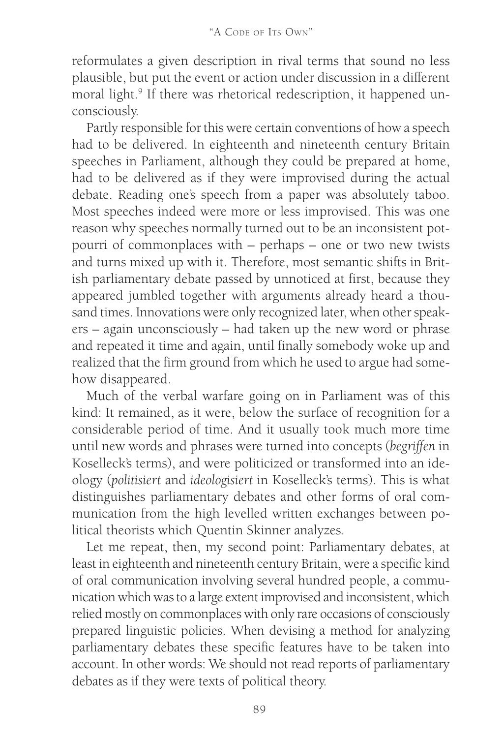reformulates a given description in rival terms that sound no less plausible, but put the event or action under discussion in a different moral light.<sup>9</sup> If there was rhetorical redescription, it happened unconsciously.

Partly responsible for this were certain conventions of how a speech had to be delivered. In eighteenth and nineteenth century Britain speeches in Parliament, although they could be prepared at home, had to be delivered as if they were improvised during the actual debate. Reading one's speech from a paper was absolutely taboo. Most speeches indeed were more or less improvised. This was one reason why speeches normally turned out to be an inconsistent potpourri of commonplaces with – perhaps – one or two new twists and turns mixed up with it. Therefore, most semantic shifts in British parliamentary debate passed by unnoticed at first, because they appeared jumbled together with arguments already heard a thousand times. Innovations were only recognized later, when other speakers – again unconsciously – had taken up the new word or phrase and repeated it time and again, until finally somebody woke up and realized that the firm ground from which he used to argue had somehow disappeared.

Much of the verbal warfare going on in Parliament was of this kind: It remained, as it were, below the surface of recognition for a considerable period of time. And it usually took much more time until new words and phrases were turned into concepts (*begriffen* in Koselleck's terms), and were politicized or transformed into an ideology (*politisiert* and *ideologisiert* in Koselleck's terms). This is what distinguishes parliamentary debates and other forms of oral communication from the high levelled written exchanges between political theorists which Quentin Skinner analyzes.

Let me repeat, then, my second point: Parliamentary debates, at least in eighteenth and nineteenth century Britain, were a specific kind of oral communication involving several hundred people, a communication which was to a large extent improvised and inconsistent, which relied mostly on commonplaces with only rare occasions of consciously prepared linguistic policies. When devising a method for analyzing parliamentary debates these specific features have to be taken into account. In other words: We should not read reports of parliamentary debates as if they were texts of political theory.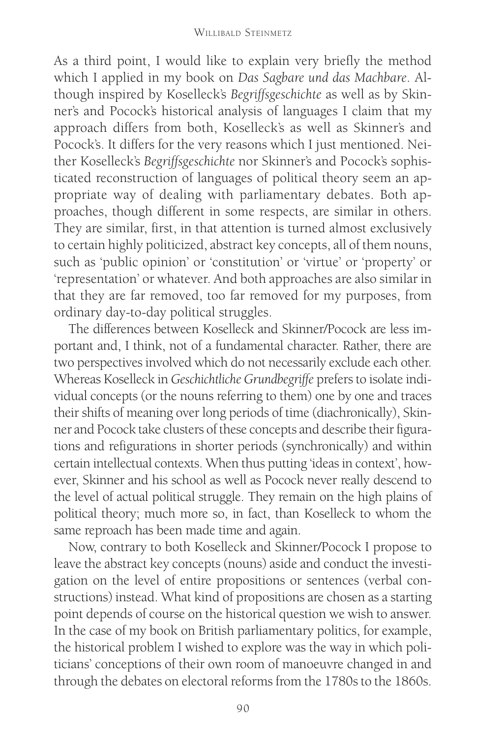As a third point, I would like to explain very briefly the method which I applied in my book on *Das Sagbare und das Machbare*. Although inspired by Koselleck's *Begriffsgeschichte* as well as by Skinner's and Pocock's historical analysis of languages I claim that my approach differs from both, Koselleck's as well as Skinner's and Pocock's. It differs for the very reasons which I just mentioned. Neither Koselleck's *Begriffsgeschichte* nor Skinner's and Pocock's sophisticated reconstruction of languages of political theory seem an appropriate way of dealing with parliamentary debates. Both approaches, though different in some respects, are similar in others. They are similar, first, in that attention is turned almost exclusively to certain highly politicized, abstract key concepts, all of them nouns, such as 'public opinion' or 'constitution' or 'virtue' or 'property' or 'representation' or whatever. And both approaches are also similar in that they are far removed, too far removed for my purposes, from ordinary day-to-day political struggles.

The differences between Koselleck and Skinner/Pocock are less important and, I think, not of a fundamental character. Rather, there are two perspectives involved which do not necessarily exclude each other. Whereas Koselleck in *Geschichtliche Grundbegriffe* prefers to isolate individual concepts (or the nouns referring to them) one by one and traces their shifts of meaning over long periods of time (diachronically), Skinner and Pocock take clusters of these concepts and describe their figurations and refigurations in shorter periods (synchronically) and within certain intellectual contexts. When thus putting 'ideas in context', however, Skinner and his school as well as Pocock never really descend to the level of actual political struggle. They remain on the high plains of political theory; much more so, in fact, than Koselleck to whom the same reproach has been made time and again.

Now, contrary to both Koselleck and Skinner/Pocock I propose to leave the abstract key concepts (nouns) aside and conduct the investigation on the level of entire propositions or sentences (verbal constructions) instead. What kind of propositions are chosen as a starting point depends of course on the historical question we wish to answer. In the case of my book on British parliamentary politics, for example, the historical problem I wished to explore was the way in which politicians' conceptions of their own room of manoeuvre changed in and through the debates on electoral reforms from the 1780s to the 1860s.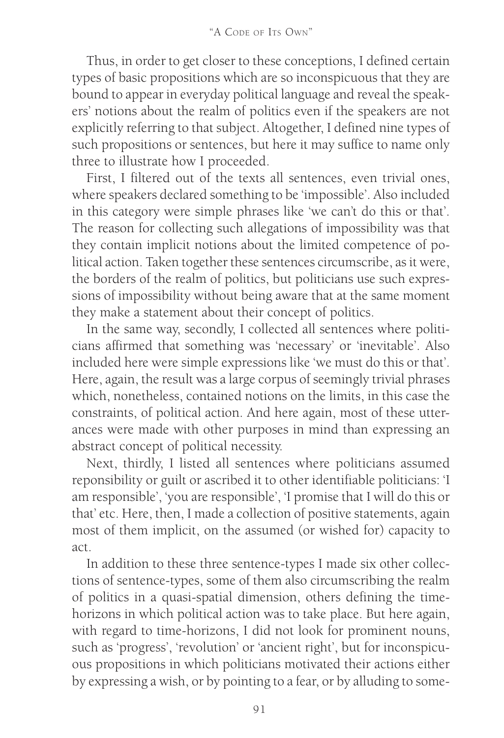Thus, in order to get closer to these conceptions, I defined certain types of basic propositions which are so inconspicuous that they are bound to appear in everyday political language and reveal the speakers' notions about the realm of politics even if the speakers are not explicitly referring to that subject. Altogether, I defined nine types of such propositions or sentences, but here it may suffice to name only three to illustrate how I proceeded.

First, I filtered out of the texts all sentences, even trivial ones, where speakers declared something to be 'impossible'. Also included in this category were simple phrases like 'we can't do this or that'. The reason for collecting such allegations of impossibility was that they contain implicit notions about the limited competence of political action. Taken together these sentences circumscribe, as it were, the borders of the realm of politics, but politicians use such expressions of impossibility without being aware that at the same moment they make a statement about their concept of politics.

In the same way, secondly, I collected all sentences where politicians affirmed that something was 'necessary' or 'inevitable'. Also included here were simple expressions like 'we must do this or that'. Here, again, the result was a large corpus of seemingly trivial phrases which, nonetheless, contained notions on the limits, in this case the constraints, of political action. And here again, most of these utterances were made with other purposes in mind than expressing an abstract concept of political necessity.

Next, thirdly, I listed all sentences where politicians assumed reponsibility or guilt or ascribed it to other identifiable politicians: 'I am responsible', 'you are responsible', 'I promise that I will do this or that' etc. Here, then, I made a collection of positive statements, again most of them implicit, on the assumed (or wished for) capacity to act.

In addition to these three sentence-types I made six other collections of sentence-types, some of them also circumscribing the realm of politics in a quasi-spatial dimension, others defining the timehorizons in which political action was to take place. But here again, with regard to time-horizons, I did not look for prominent nouns, such as 'progress', 'revolution' or 'ancient right', but for inconspicuous propositions in which politicians motivated their actions either by expressing a wish, or by pointing to a fear, or by alluding to some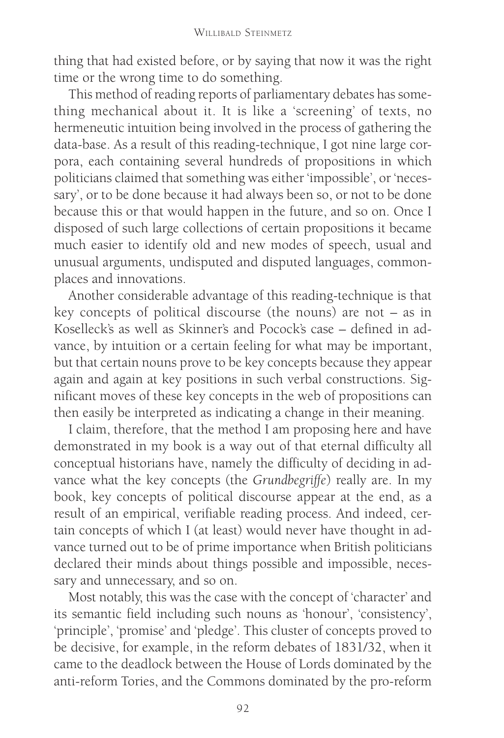thing that had existed before, or by saying that now it was the right time or the wrong time to do something.

This method of reading reports of parliamentary debates has something mechanical about it. It is like a 'screening' of texts, no hermeneutic intuition being involved in the process of gathering the data-base. As a result of this reading-technique, I got nine large corpora, each containing several hundreds of propositions in which politicians claimed that something was either 'impossible', or 'necessary', or to be done because it had always been so, or not to be done because this or that would happen in the future, and so on. Once I disposed of such large collections of certain propositions it became much easier to identify old and new modes of speech, usual and unusual arguments, undisputed and disputed languages, commonplaces and innovations.

Another considerable advantage of this reading-technique is that key concepts of political discourse (the nouns) are not – as in Koselleck's as well as Skinner's and Pocock's case – defined in advance, by intuition or a certain feeling for what may be important, but that certain nouns prove to be key concepts because they appear again and again at key positions in such verbal constructions. Significant moves of these key concepts in the web of propositions can then easily be interpreted as indicating a change in their meaning.

I claim, therefore, that the method I am proposing here and have demonstrated in my book is a way out of that eternal difficulty all conceptual historians have, namely the difficulty of deciding in advance what the key concepts (the *Grundbegriffe*) really are. In my book, key concepts of political discourse appear at the end, as a result of an empirical, verifiable reading process. And indeed, certain concepts of which I (at least) would never have thought in advance turned out to be of prime importance when British politicians declared their minds about things possible and impossible, necessary and unnecessary, and so on.

Most notably, this was the case with the concept of 'character' and its semantic field including such nouns as 'honour', 'consistency', 'principle', 'promise' and 'pledge'. This cluster of concepts proved to be decisive, for example, in the reform debates of 1831/32, when it came to the deadlock between the House of Lords dominated by the anti-reform Tories, and the Commons dominated by the pro-reform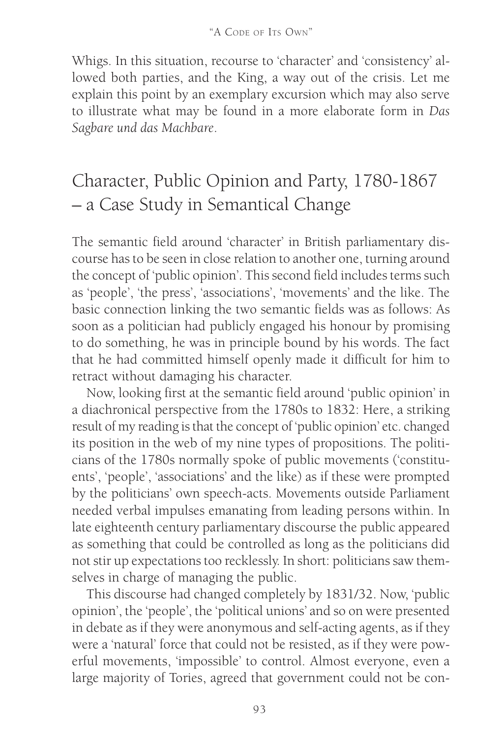Whigs. In this situation, recourse to 'character' and 'consistency' allowed both parties, and the King, a way out of the crisis. Let me explain this point by an exemplary excursion which may also serve to illustrate what may be found in a more elaborate form in *Das Sagbare und das Machbare*.

# Character, Public Opinion and Party, 1780-1867 – a Case Study in Semantical Change

The semantic field around 'character' in British parliamentary discourse has to be seen in close relation to another one, turning around the concept of 'public opinion'. This second field includes terms such as 'people', 'the press', 'associations', 'movements' and the like. The basic connection linking the two semantic fields was as follows: As soon as a politician had publicly engaged his honour by promising to do something, he was in principle bound by his words. The fact that he had committed himself openly made it difficult for him to retract without damaging his character.

Now, looking first at the semantic field around 'public opinion' in a diachronical perspective from the 1780s to 1832: Here, a striking result of my reading is that the concept of 'public opinion' etc. changed its position in the web of my nine types of propositions. The politicians of the 1780s normally spoke of public movements ('constituents', 'people', 'associations' and the like) as if these were prompted by the politicians' own speech-acts. Movements outside Parliament needed verbal impulses emanating from leading persons within. In late eighteenth century parliamentary discourse the public appeared as something that could be controlled as long as the politicians did not stir up expectations too recklessly. In short: politicians saw themselves in charge of managing the public.

This discourse had changed completely by 1831/32. Now, 'public opinion', the 'people', the 'political unions' and so on were presented in debate as if they were anonymous and self-acting agents, as if they were a 'natural' force that could not be resisted, as if they were powerful movements, 'impossible' to control. Almost everyone, even a large majority of Tories, agreed that government could not be con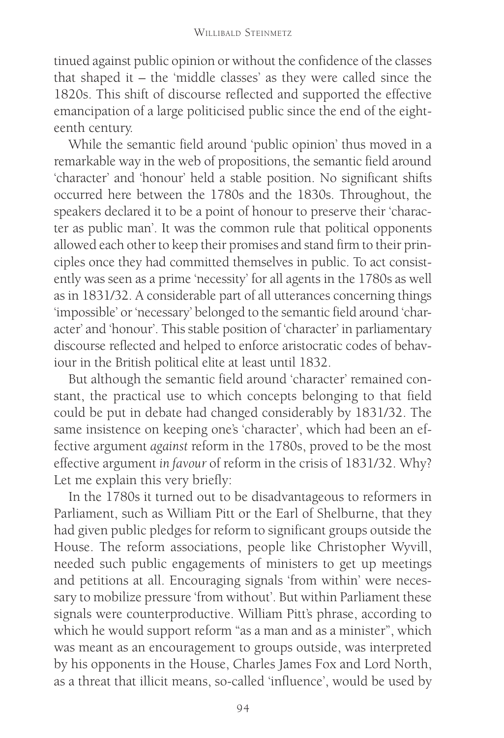tinued against public opinion or without the confidence of the classes that shaped it – the 'middle classes' as they were called since the 1820s. This shift of discourse reflected and supported the effective emancipation of a large politicised public since the end of the eighteenth century.

While the semantic field around 'public opinion' thus moved in a remarkable way in the web of propositions, the semantic field around 'character' and 'honour' held a stable position. No significant shifts occurred here between the 1780s and the 1830s. Throughout, the speakers declared it to be a point of honour to preserve their 'character as public man'. It was the common rule that political opponents allowed each other to keep their promises and stand firm to their principles once they had committed themselves in public. To act consistently was seen as a prime 'necessity' for all agents in the 1780s as well as in 1831/32. A considerable part of all utterances concerning things 'impossible' or 'necessary' belonged to the semantic field around 'character' and 'honour'. This stable position of 'character' in parliamentary discourse reflected and helped to enforce aristocratic codes of behaviour in the British political elite at least until 1832.

But although the semantic field around 'character' remained constant, the practical use to which concepts belonging to that field could be put in debate had changed considerably by 1831/32. The same insistence on keeping one's 'character', which had been an effective argument *against* reform in the 1780s, proved to be the most effective argument *in favour* of reform in the crisis of 1831/32. Why? Let me explain this very briefly:

In the 1780s it turned out to be disadvantageous to reformers in Parliament, such as William Pitt or the Earl of Shelburne, that they had given public pledges for reform to significant groups outside the House. The reform associations, people like Christopher Wyvill, needed such public engagements of ministers to get up meetings and petitions at all. Encouraging signals 'from within' were necessary to mobilize pressure 'from without'. But within Parliament these signals were counterproductive. William Pitt's phrase, according to which he would support reform "as a man and as a minister", which was meant as an encouragement to groups outside, was interpreted by his opponents in the House, Charles James Fox and Lord North, as a threat that illicit means, so-called 'influence', would be used by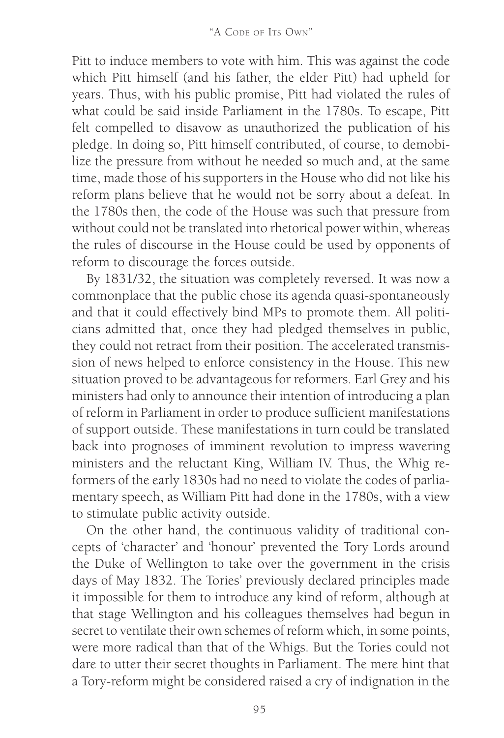Pitt to induce members to vote with him. This was against the code which Pitt himself (and his father, the elder Pitt) had upheld for years. Thus, with his public promise, Pitt had violated the rules of what could be said inside Parliament in the 1780s. To escape, Pitt felt compelled to disavow as unauthorized the publication of his pledge. In doing so, Pitt himself contributed, of course, to demobilize the pressure from without he needed so much and, at the same time, made those of his supporters in the House who did not like his reform plans believe that he would not be sorry about a defeat. In the 1780s then, the code of the House was such that pressure from without could not be translated into rhetorical power within, whereas the rules of discourse in the House could be used by opponents of reform to discourage the forces outside.

By 1831/32, the situation was completely reversed. It was now a commonplace that the public chose its agenda quasi-spontaneously and that it could effectively bind MPs to promote them. All politicians admitted that, once they had pledged themselves in public, they could not retract from their position. The accelerated transmission of news helped to enforce consistency in the House. This new situation proved to be advantageous for reformers. Earl Grey and his ministers had only to announce their intention of introducing a plan of reform in Parliament in order to produce sufficient manifestations of support outside. These manifestations in turn could be translated back into prognoses of imminent revolution to impress wavering ministers and the reluctant King, William IV. Thus, the Whig reformers of the early 1830s had no need to violate the codes of parliamentary speech, as William Pitt had done in the 1780s, with a view to stimulate public activity outside.

On the other hand, the continuous validity of traditional concepts of 'character' and 'honour' prevented the Tory Lords around the Duke of Wellington to take over the government in the crisis days of May 1832. The Tories' previously declared principles made it impossible for them to introduce any kind of reform, although at that stage Wellington and his colleagues themselves had begun in secret to ventilate their own schemes of reform which, in some points, were more radical than that of the Whigs. But the Tories could not dare to utter their secret thoughts in Parliament. The mere hint that a Tory-reform might be considered raised a cry of indignation in the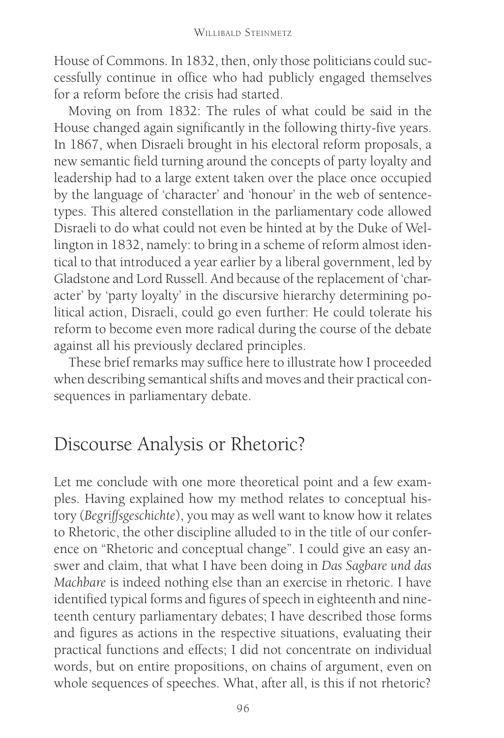House of Commons. In 1832, then, only those politicians could successfully continue in office who had publicly engaged themselves for a reform before the crisis had started.

Moving on from 1832: The rules of what could be said in the House changed again significantly in the following thirty-five years. In 1867, when Disraeli brought in his electoral reform proposals, a new semantic field turning around the concepts of party loyalty and leadership had to a large extent taken over the place once occupied by the language of 'character' and 'honour' in the web of sentencetypes. This altered constellation in the parliamentary code allowed Disraeli to do what could not even be hinted at by the Duke of Wellington in 1832, namely: to bring in a scheme of reform almost identical to that introduced a year earlier by a liberal government, led by Gladstone and Lord Russell. And because of the replacement of 'character' by 'party loyalty' in the discursive hierarchy determining political action, Disraeli, could go even further: He could tolerate his reform to become even more radical during the course of the debate against all his previously declared principles.

These brief remarks may suffice here to illustrate how I proceeded when describing semantical shifts and moves and their practical consequences in parliamentary debate.

#### Discourse Analysis or Rhetoric?

Let me conclude with one more theoretical point and a few examples. Having explained how my method relates to conceptual history (*Begriffsgeschichte*), you may as well want to know how it relates to Rhetoric, the other discipline alluded to in the title of our conference on "Rhetoric and conceptual change". I could give an easy answer and claim, that what I have been doing in *Das Sagbare und das Machbare* is indeed nothing else than an exercise in rhetoric. I have identified typical forms and figures of speech in eighteenth and nineteenth century parliamentary debates; I have described those forms and figures as actions in the respective situations, evaluating their practical functions and effects; I did not concentrate on individual words, but on entire propositions, on chains of argument, even on whole sequences of speeches. What, after all, is this if not rhetoric?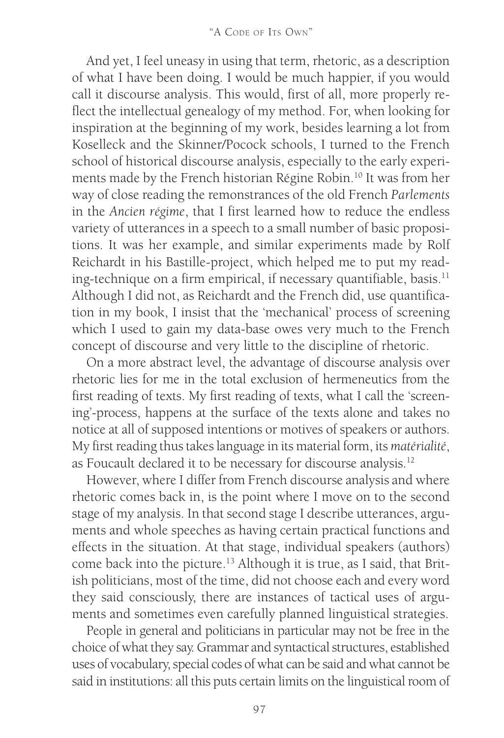And yet, I feel uneasy in using that term, rhetoric, as a description of what I have been doing. I would be much happier, if you would call it discourse analysis. This would, first of all, more properly reflect the intellectual genealogy of my method. For, when looking for inspiration at the beginning of my work, besides learning a lot from Koselleck and the Skinner/Pocock schools, I turned to the French school of historical discourse analysis, especially to the early experiments made by the French historian Régine Robin.10 It was from her way of close reading the remonstrances of the old French *Parlements* in the *Ancien régime*, that I first learned how to reduce the endless variety of utterances in a speech to a small number of basic propositions. It was her example, and similar experiments made by Rolf Reichardt in his Bastille-project, which helped me to put my reading-technique on a firm empirical, if necessary quantifiable, basis.<sup>11</sup> Although I did not, as Reichardt and the French did, use quantification in my book, I insist that the 'mechanical' process of screening which I used to gain my data-base owes very much to the French concept of discourse and very little to the discipline of rhetoric.

On a more abstract level, the advantage of discourse analysis over rhetoric lies for me in the total exclusion of hermeneutics from the first reading of texts. My first reading of texts, what I call the 'screening'-process, happens at the surface of the texts alone and takes no notice at all of supposed intentions or motives of speakers or authors. My first reading thus takes language in its material form, its *matérialité*, as Foucault declared it to be necessary for discourse analysis.<sup>12</sup>

However, where I differ from French discourse analysis and where rhetoric comes back in, is the point where I move on to the second stage of my analysis. In that second stage I describe utterances, arguments and whole speeches as having certain practical functions and effects in the situation. At that stage, individual speakers (authors) come back into the picture.<sup>13</sup> Although it is true, as I said, that British politicians, most of the time, did not choose each and every word they said consciously, there are instances of tactical uses of arguments and sometimes even carefully planned linguistical strategies.

People in general and politicians in particular may not be free in the choice of what they say. Grammar and syntactical structures, established uses of vocabulary, special codes of what can be said and what cannot be said in institutions: all this puts certain limits on the linguistical room of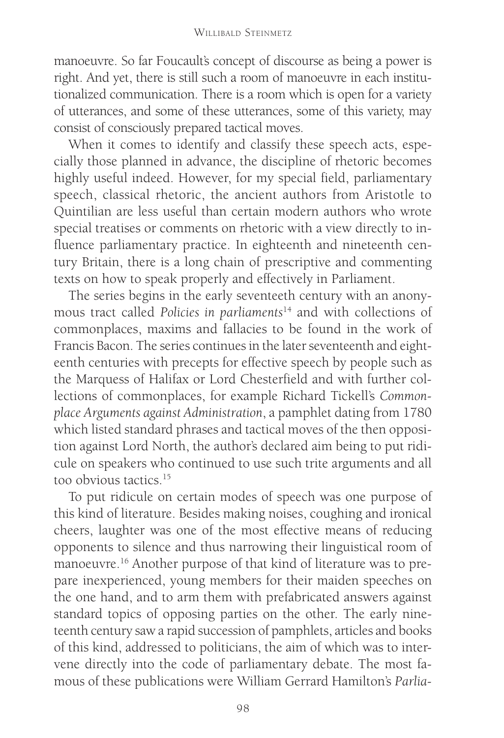manoeuvre. So far Foucault's concept of discourse as being a power is right. And yet, there is still such a room of manoeuvre in each institutionalized communication. There is a room which is open for a variety of utterances, and some of these utterances, some of this variety, may consist of consciously prepared tactical moves.

When it comes to identify and classify these speech acts, especially those planned in advance, the discipline of rhetoric becomes highly useful indeed. However, for my special field, parliamentary speech, classical rhetoric, the ancient authors from Aristotle to Quintilian are less useful than certain modern authors who wrote special treatises or comments on rhetoric with a view directly to influence parliamentary practice. In eighteenth and nineteenth century Britain, there is a long chain of prescriptive and commenting texts on how to speak properly and effectively in Parliament.

The series begins in the early seventeeth century with an anonymous tract called *Policies in parliaments*<sup>14</sup> and with collections of commonplaces, maxims and fallacies to be found in the work of Francis Bacon. The series continues in the later seventeenth and eighteenth centuries with precepts for effective speech by people such as the Marquess of Halifax or Lord Chesterfield and with further collections of commonplaces, for example Richard Tickell's *Commonplace Arguments against Administration*, a pamphlet dating from 1780 which listed standard phrases and tactical moves of the then opposition against Lord North, the author's declared aim being to put ridicule on speakers who continued to use such trite arguments and all too obvious tactics.15

To put ridicule on certain modes of speech was one purpose of this kind of literature. Besides making noises, coughing and ironical cheers, laughter was one of the most effective means of reducing opponents to silence and thus narrowing their linguistical room of manoeuvre.16 Another purpose of that kind of literature was to prepare inexperienced, young members for their maiden speeches on the one hand, and to arm them with prefabricated answers against standard topics of opposing parties on the other. The early nineteenth century saw a rapid succession of pamphlets, articles and books of this kind, addressed to politicians, the aim of which was to intervene directly into the code of parliamentary debate. The most famous of these publications were William Gerrard Hamilton's *Parlia-*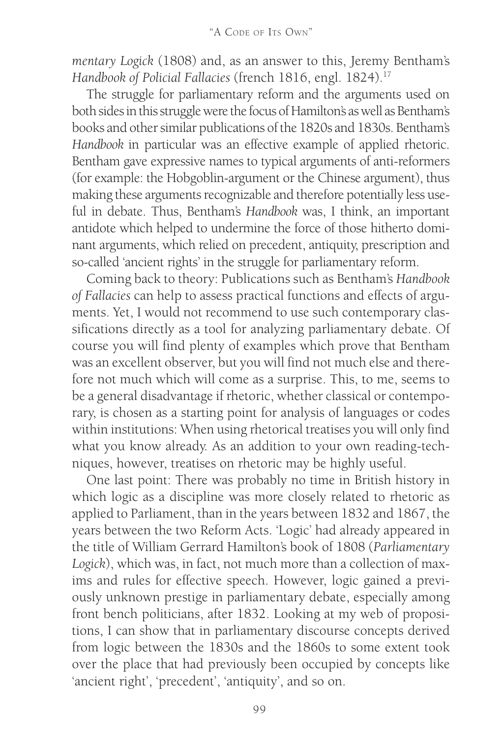*mentary Logick* (1808) and, as an answer to this, Jeremy Bentham's *Handbook of Policial Fallacies* (french 1816, engl. 1824).17

The struggle for parliamentary reform and the arguments used on both sides in this struggle were the focus of Hamilton's as well as Bentham's books and other similar publications of the 1820s and 1830s. Bentham's *Handbook* in particular was an effective example of applied rhetoric. Bentham gave expressive names to typical arguments of anti-reformers (for example: the Hobgoblin-argument or the Chinese argument), thus making these arguments recognizable and therefore potentially less useful in debate. Thus, Bentham's *Handbook* was, I think, an important antidote which helped to undermine the force of those hitherto dominant arguments, which relied on precedent, antiquity, prescription and so-called 'ancient rights' in the struggle for parliamentary reform.

Coming back to theory: Publications such as Bentham's *Handbook of Fallacies* can help to assess practical functions and effects of arguments. Yet, I would not recommend to use such contemporary classifications directly as a tool for analyzing parliamentary debate. Of course you will find plenty of examples which prove that Bentham was an excellent observer, but you will find not much else and therefore not much which will come as a surprise. This, to me, seems to be a general disadvantage if rhetoric, whether classical or contemporary, is chosen as a starting point for analysis of languages or codes within institutions: When using rhetorical treatises you will only find what you know already. As an addition to your own reading-techniques, however, treatises on rhetoric may be highly useful.

One last point: There was probably no time in British history in which logic as a discipline was more closely related to rhetoric as applied to Parliament, than in the years between 1832 and 1867, the years between the two Reform Acts. 'Logic' had already appeared in the title of William Gerrard Hamilton's book of 1808 (*Parliamentary Logick*), which was, in fact, not much more than a collection of maxims and rules for effective speech. However, logic gained a previously unknown prestige in parliamentary debate, especially among front bench politicians, after 1832. Looking at my web of propositions, I can show that in parliamentary discourse concepts derived from logic between the 1830s and the 1860s to some extent took over the place that had previously been occupied by concepts like 'ancient right', 'precedent', 'antiquity', and so on.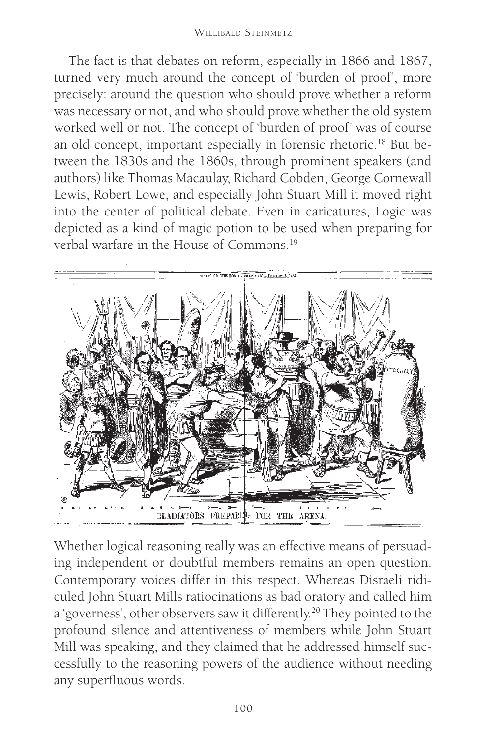The fact is that debates on reform, especially in 1866 and 1867, turned very much around the concept of 'burden of proof', more precisely: around the question who should prove whether a reform was necessary or not, and who should prove whether the old system worked well or not. The concept of 'burden of proof' was of course an old concept, important especially in forensic rhetoric.<sup>18</sup> But between the 1830s and the 1860s, through prominent speakers (and authors) like Thomas Macaulay, Richard Cobden, George Cornewall Lewis, Robert Lowe, and especially John Stuart Mill it moved right into the center of political debate. Even in caricatures, Logic was depicted as a kind of magic potion to be used when preparing for verbal warfare in the House of Commons.19



Whether logical reasoning really was an effective means of persuading independent or doubtful members remains an open question. Contemporary voices differ in this respect. Whereas Disraeli ridiculed John Stuart Mills ratiocinations as bad oratory and called him a 'governess', other observers saw it differently.<sup>20</sup> They pointed to the profound silence and attentiveness of members while John Stuart Mill was speaking, and they claimed that he addressed himself successfully to the reasoning powers of the audience without needing any superfluous words.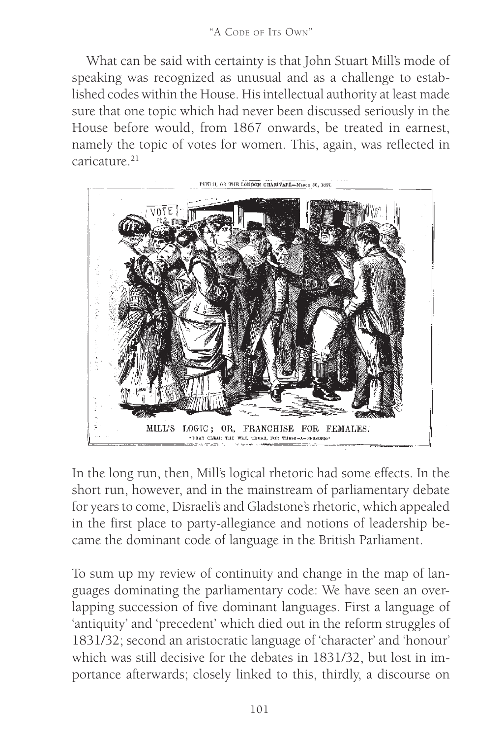What can be said with certainty is that John Stuart Mill's mode of speaking was recognized as unusual and as a challenge to established codes within the House. His intellectual authority at least made sure that one topic which had never been discussed seriously in the House before would, from 1867 onwards, be treated in earnest, namely the topic of votes for women. This, again, was reflected in caricature<sup>21</sup>



In the long run, then, Mill's logical rhetoric had some effects. In the short run, however, and in the mainstream of parliamentary debate for years to come, Disraeli's and Gladstone's rhetoric, which appealed in the first place to party-allegiance and notions of leadership became the dominant code of language in the British Parliament.

To sum up my review of continuity and change in the map of languages dominating the parliamentary code: We have seen an overlapping succession of five dominant languages. First a language of 'antiquity' and 'precedent' which died out in the reform struggles of 1831/32; second an aristocratic language of 'character' and 'honour' which was still decisive for the debates in 1831/32, but lost in importance afterwards; closely linked to this, thirdly, a discourse on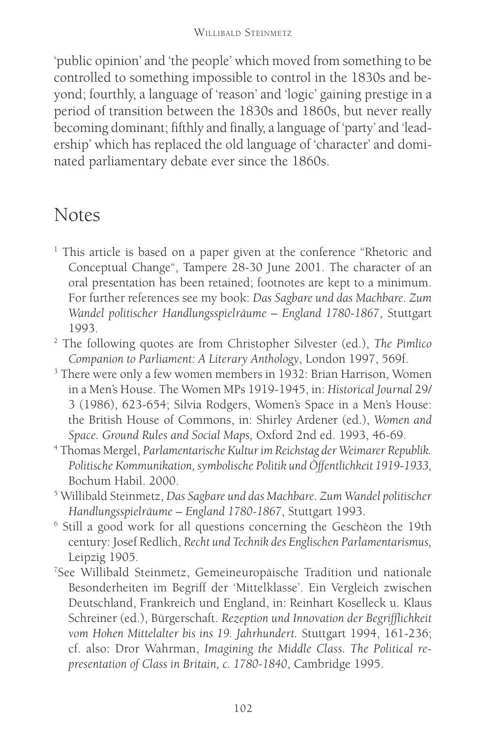'public opinion' and 'the people' which moved from something to be controlled to something impossible to control in the 1830s and beyond; fourthly, a language of 'reason' and 'logic' gaining prestige in a period of transition between the 1830s and 1860s, but never really becoming dominant; fifthly and finally, a language of 'party' and 'leadership' which has replaced the old language of 'character' and dominated parliamentary debate ever since the 1860s.

### Notes

- <sup>1</sup> This article is based on a paper given at the conference "Rhetoric and Conceptual Change", Tampere 28-30 June 2001. The character of an oral presentation has been retained; footnotes are kept to a minimum. For further references see my book: *Das Sagbare und das Machbare. Zum Wandel politischer Handlungsspielräume – England 1780-1867*, Stuttgart 1993.
- <sup>2</sup> The following quotes are from Christopher Silvester (ed.), *The Pimlico Companion to Parliament: A Literary Anthology*, London 1997, 569f.
- <sup>3</sup> There were only a few women members in 1932: Brian Harrison, Women in a Men's House. The Women MPs 1919-1945, in: *Historical Journal* 29/ 3 (1986), 623-654; Silvia Rodgers, Women's Space in a Men's House: the British House of Commons, in: Shirley Ardener (ed.), *Women and Space. Ground Rules and Social Maps,* Oxford 2nd ed. 1993, 46-69.
- <sup>4</sup> Thomas Mergel, *Parlamentarische Kultur im Reichstag der Weimarer Republik. Politische Kommunikation, symbolische Politik und Öffentlichkeit 1919-1933,* Bochum Habil. 2000.
- <sup>5</sup> Willibald Steinmetz, *Das Sagbare und das Machbare. Zum Wandel politischer Handlungsspielräume – England 1780-1867*, Stuttgart 1993.
- <sup>6</sup> Still a good work for all questions concerning the Geschèon the 19th century: Josef Redlich, *Recht und Technik des Englischen Parlamentarismus,* Leipzig 1905.
- 7 See Willibald Steinmetz, Gemeineuropäische Tradition und nationale Besonderheiten im Begriff der 'Mittelklasse'. Ein Vergleich zwischen Deutschland, Frankreich und England, in: Reinhart Koselleck u. Klaus Schreiner (ed.), Bürgerschaft. *Rezeption und Innovation der Begrifflichkeit vom Hohen Mittelalter bis ins 19. Jahrhundert.* Stuttgart 1994, 161-236; cf. also: Dror Wahrman, *Imagining the Middle Class. The Political representation of Class in Britain, c. 1780-1840*, Cambridge 1995.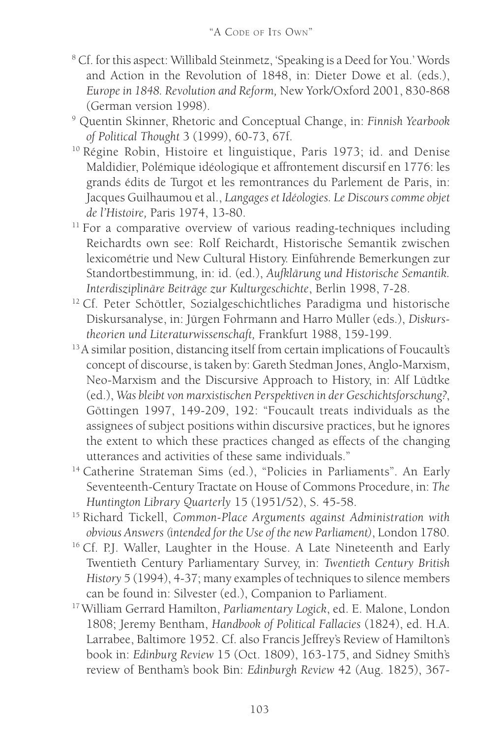- <sup>8</sup> Cf. for this aspect: Willibald Steinmetz, 'Speaking is a Deed for You.' Words and Action in the Revolution of 1848, in: Dieter Dowe et al. (eds.), *Europe in 1848. Revolution and Reform,* New York/Oxford 2001, 830-868 (German version 1998).
- <sup>9</sup> Quentin Skinner, Rhetoric and Conceptual Change, in: *Finnish Yearbook of Political Thought* 3 (1999), 60-73, 67f.
- <sup>10</sup> Régine Robin, Histoire et linguistique, Paris 1973; id. and Denise Maldidier, Polémique idéologique et affrontement discursif en 1776: les grands édits de Turgot et les remontrances du Parlement de Paris, in: Jacques Guilhaumou et al., *Langages et Idéologies. Le Discours comme objet de l'Histoire,* Paris 1974, 13-80.
- $11$  For a comparative overview of various reading-techniques including Reichardts own see: Rolf Reichardt, Historische Semantik zwischen lexicométrie und New Cultural History. Einführende Bemerkungen zur Standortbestimmung, in: id. (ed.), *Aufklärung und Historische Semantik. Interdisziplinäre Beiträge zur Kulturgeschichte*, Berlin 1998, 7-28.
- <sup>12</sup> Cf. Peter Schöttler, Sozialgeschichtliches Paradigma und historische Diskursanalyse, in: Jürgen Fohrmann and Harro Müller (eds.), *Diskurstheorien und Literaturwissenschaft,* Frankfurt 1988, 159-199.
- <sup>13</sup> A similar position, distancing itself from certain implications of Foucault's concept of discourse, is taken by: Gareth Stedman Jones, Anglo-Marxism, Neo-Marxism and the Discursive Approach to History, in: Alf Lüdtke (ed.), *Was bleibt von marxistischen Perspektiven in der Geschichtsforschung?*, Göttingen 1997, 149-209, 192: "Foucault treats individuals as the assignees of subject positions within discursive practices, but he ignores the extent to which these practices changed as effects of the changing utterances and activities of these same individuals."
- <sup>14</sup> Catherine Strateman Sims (ed.), "Policies in Parliaments". An Early Seventeenth-Century Tractate on House of Commons Procedure, in: *The Huntington Library Quarterly* 15 (1951/52), S. 45-58.
- 15 Richard Tickell, *Common-Place Arguments against Administration with obvious Answers (intended for the Use of the new Parliament)*, London 1780.
- <sup>16</sup> Cf. P.J. Waller, Laughter in the House. A Late Nineteenth and Early Twentieth Century Parliamentary Survey, in: *Twentieth Century British History* 5 (1994), 4-37; many examples of techniques to silence members can be found in: Silvester (ed.), Companion to Parliament.
- 17 William Gerrard Hamilton, *Parliamentary Logick*, ed. E. Malone, London 1808; Jeremy Bentham, *Handbook of Political Fallacies* (1824), ed. H.A. Larrabee, Baltimore 1952. Cf. also Francis Jeffrey's Review of Hamilton's book in: *Edinburg Review* 15 (Oct. 1809), 163-175, and Sidney Smith's review of Bentham's book Bin: *Edinburgh Review* 42 (Aug. 1825), 367-